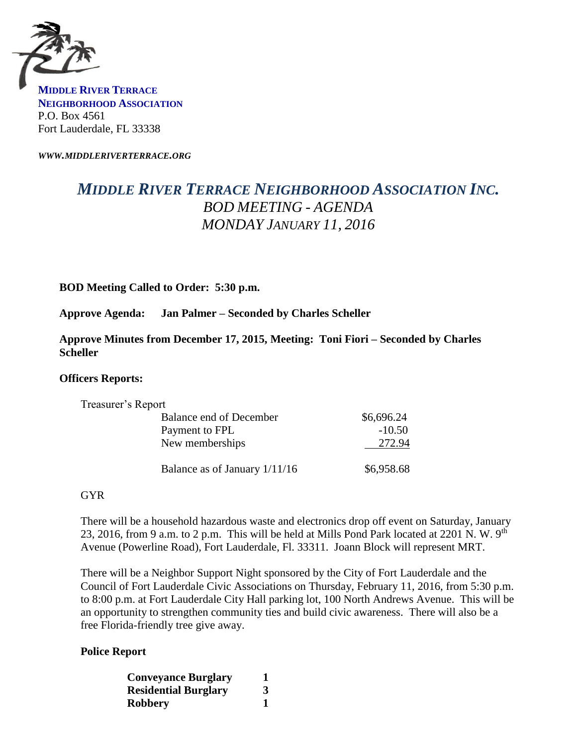

**MIDDLE RIVER TERRACE NEIGHBORHOOD ASSOCIATION** P.O. Box 4561 Fort Lauderdale, FL 33338

*WWW.MIDDLERIVERTERRACE.ORG*

# *MIDDLE RIVER TERRACE NEIGHBORHOOD ASSOCIATION INC. BOD MEETING - AGENDA MONDAY JANUARY 11, 2016*

## **BOD Meeting Called to Order: 5:30 p.m.**

**Approve Agenda: Jan Palmer – Seconded by Charles Scheller**

**Approve Minutes from December 17, 2015, Meeting: Toni Fiori – Seconded by Charles Scheller** 

### **Officers Reports:**

| Treasurer's Report            |            |
|-------------------------------|------------|
| Balance end of December       | \$6,696.24 |
| Payment to FPL                | $-10.50$   |
| New memberships               | 272.94     |
| Balance as of January 1/11/16 | \$6,958.68 |

### GYR

There will be a household hazardous waste and electronics drop off event on Saturday, January 23, 2016, from 9 a.m. to 2 p.m. This will be held at Mills Pond Park located at 2201 N. W. 9<sup>th</sup> Avenue (Powerline Road), Fort Lauderdale, Fl. 33311. Joann Block will represent MRT.

There will be a Neighbor Support Night sponsored by the City of Fort Lauderdale and the Council of Fort Lauderdale Civic Associations on Thursday, February 11, 2016, from 5:30 p.m. to 8:00 p.m. at Fort Lauderdale City Hall parking lot, 100 North Andrews Avenue. This will be an opportunity to strengthen community ties and build civic awareness. There will also be a free Florida-friendly tree give away.

### **Police Report**

| <b>Conveyance Burglary</b>  |   |
|-----------------------------|---|
| <b>Residential Burglary</b> | 3 |
| <b>Robbery</b>              |   |